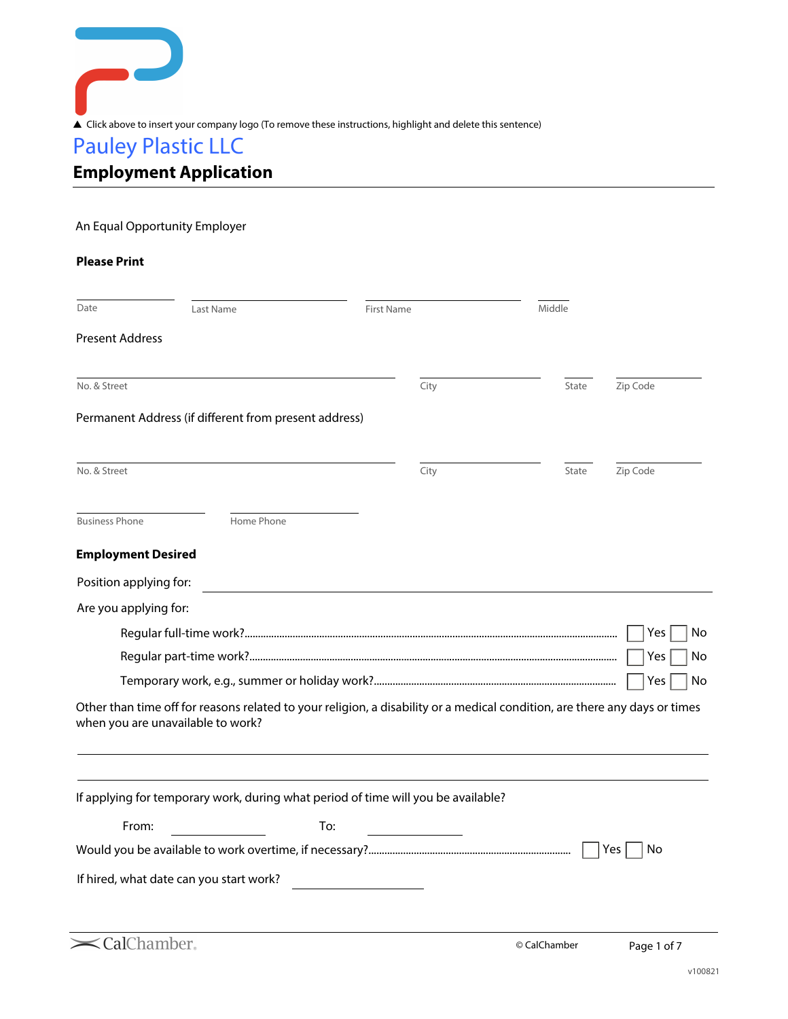▲ Click above to insert your company logo (To remove these instructions, highlight and delete this sentence)<br>Pauley Plastic LLC

| <b>Employment Application</b> |  |
|-------------------------------|--|
|-------------------------------|--|

### An Equal Opportunity Employer

### **Please Print**

| Date                      | Last Name                                             | <b>First Name</b>                                                                                                          | Middle |           |
|---------------------------|-------------------------------------------------------|----------------------------------------------------------------------------------------------------------------------------|--------|-----------|
| <b>Present Address</b>    |                                                       |                                                                                                                            |        |           |
| No. & Street              |                                                       | City                                                                                                                       | State  | Zip Code  |
|                           | Permanent Address (if different from present address) |                                                                                                                            |        |           |
| No. & Street              |                                                       | City                                                                                                                       | State  | Zip Code  |
| <b>Business Phone</b>     | Home Phone                                            |                                                                                                                            |        |           |
| <b>Employment Desired</b> |                                                       |                                                                                                                            |        |           |
| Position applying for:    |                                                       |                                                                                                                            |        |           |
| Are you applying for:     |                                                       |                                                                                                                            |        |           |
|                           |                                                       |                                                                                                                            |        | Yes<br>No |
|                           |                                                       |                                                                                                                            |        | Yes<br>No |
|                           |                                                       |                                                                                                                            |        | Yes<br>No |
|                           | when you are unavailable to work?                     | Other than time off for reasons related to your religion, a disability or a medical condition, are there any days or times |        |           |
|                           |                                                       | If applying for temporary work, during what period of time will you be available?                                          |        |           |
| From:                     |                                                       | To:                                                                                                                        |        |           |
|                           |                                                       |                                                                                                                            |        | No<br>Yes |
|                           | If hired, what date can you start work?               |                                                                                                                            |        |           |
|                           |                                                       |                                                                                                                            |        |           |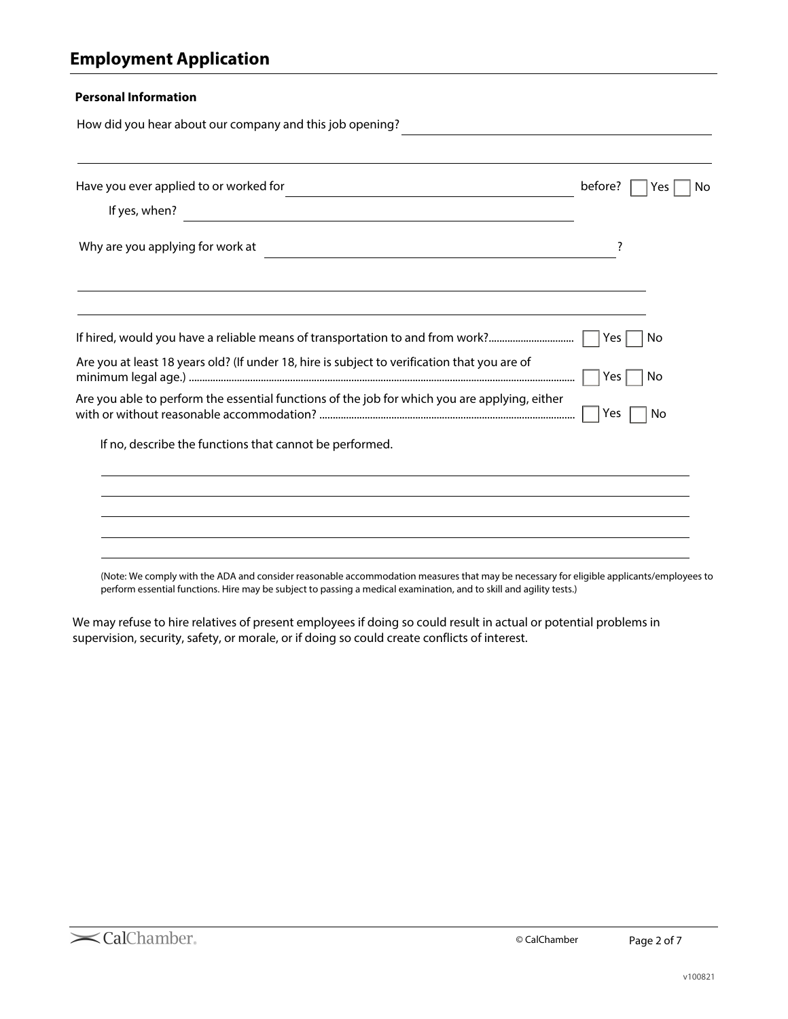### **Personal Information**

How did you hear about our company and this job opening?

| Have you ever applied to or worked for                                                        | before? | Yes<br>No |
|-----------------------------------------------------------------------------------------------|---------|-----------|
| If yes, when?                                                                                 |         |           |
| Why are you applying for work at                                                              |         |           |
|                                                                                               |         |           |
| If hired, would you have a reliable means of transportation to and from work?                 | Yes     | No        |
| Are you at least 18 years old? (If under 18, hire is subject to verification that you are of  | Yes.    | No        |
| Are you able to perform the essential functions of the job for which you are applying, either | Yes     | No        |
| If no, describe the functions that cannot be performed.                                       |         |           |
|                                                                                               |         |           |
|                                                                                               |         |           |
|                                                                                               |         |           |

(Note: We comply with the ADA and consider reasonable accommodation measures that may be necessary for eligible applicants/employees to perform essential functions. Hire may be subject to passing a medical examination, and to skill and agility tests.)

We may refuse to hire relatives of present employees if doing so could result in actual or potential problems in supervision, security, safety, or morale, or if doing so could create conflicts of interest.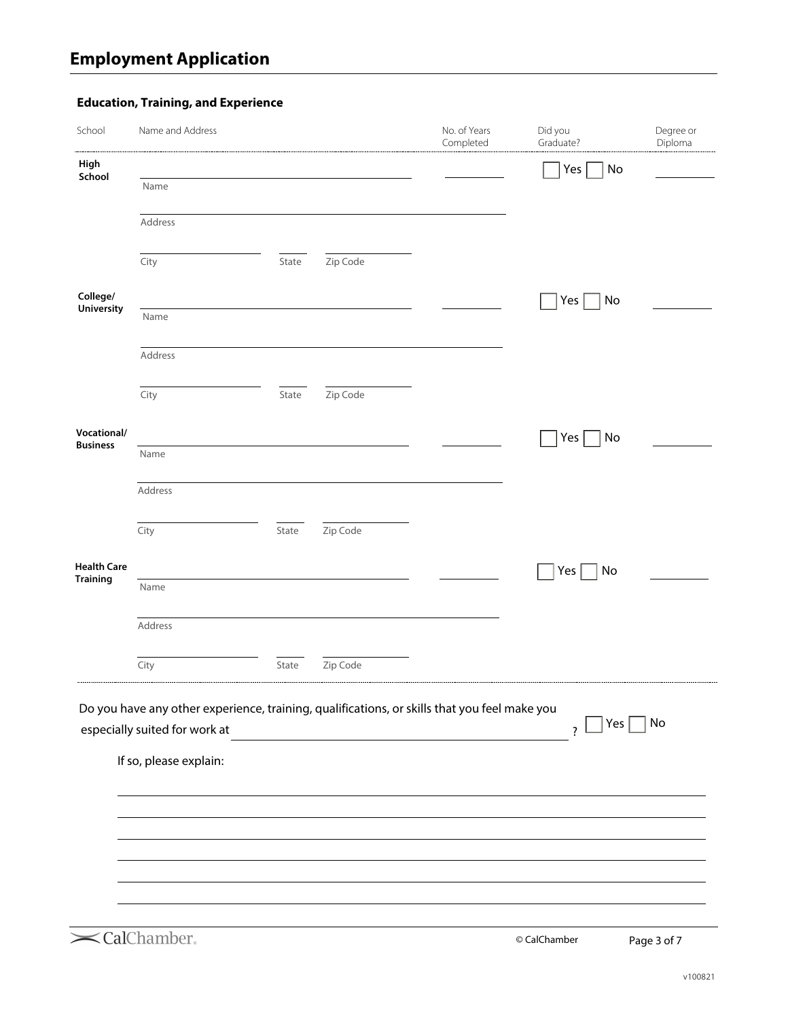### **Education, Training, and Experience**

| School                                | Name and Address                                        |       |          | No. of Years<br>Completed                                                                                                                            | Did you<br>Graduate?  | Degree or<br>Diploma |
|---------------------------------------|---------------------------------------------------------|-------|----------|------------------------------------------------------------------------------------------------------------------------------------------------------|-----------------------|----------------------|
| High<br>School                        | Name                                                    |       |          |                                                                                                                                                      | Yes<br>No             |                      |
|                                       |                                                         |       |          |                                                                                                                                                      |                       |                      |
|                                       | Address                                                 |       |          |                                                                                                                                                      |                       |                      |
|                                       | City                                                    | State | Zip Code |                                                                                                                                                      |                       |                      |
| College/<br><b>University</b>         | Name                                                    |       |          |                                                                                                                                                      | Yes<br>No             |                      |
|                                       |                                                         |       |          |                                                                                                                                                      |                       |                      |
|                                       | Address                                                 |       |          |                                                                                                                                                      |                       |                      |
|                                       | City                                                    | State | Zip Code |                                                                                                                                                      |                       |                      |
| Vocational/                           |                                                         |       |          |                                                                                                                                                      | Yes<br>No             |                      |
| <b>Business</b>                       | Name                                                    |       |          |                                                                                                                                                      |                       |                      |
|                                       | Address                                                 |       |          |                                                                                                                                                      |                       |                      |
|                                       | City                                                    | State | Zip Code |                                                                                                                                                      |                       |                      |
| <b>Health Care</b><br><b>Training</b> |                                                         |       |          |                                                                                                                                                      | Yes<br>No             |                      |
|                                       | Name                                                    |       |          |                                                                                                                                                      |                       |                      |
|                                       | Address                                                 |       |          |                                                                                                                                                      |                       |                      |
|                                       | City                                                    | State | Zip Code |                                                                                                                                                      |                       |                      |
|                                       | especially suited for work at<br>If so, please explain: |       |          | Do you have any other experience, training, qualifications, or skills that you feel make you<br><u> 1989 - Johann Stoff, Amerikaansk politiker (</u> | Yes<br>$\overline{?}$ | No                   |
|                                       |                                                         |       |          |                                                                                                                                                      |                       |                      |

<br />
CalChamber.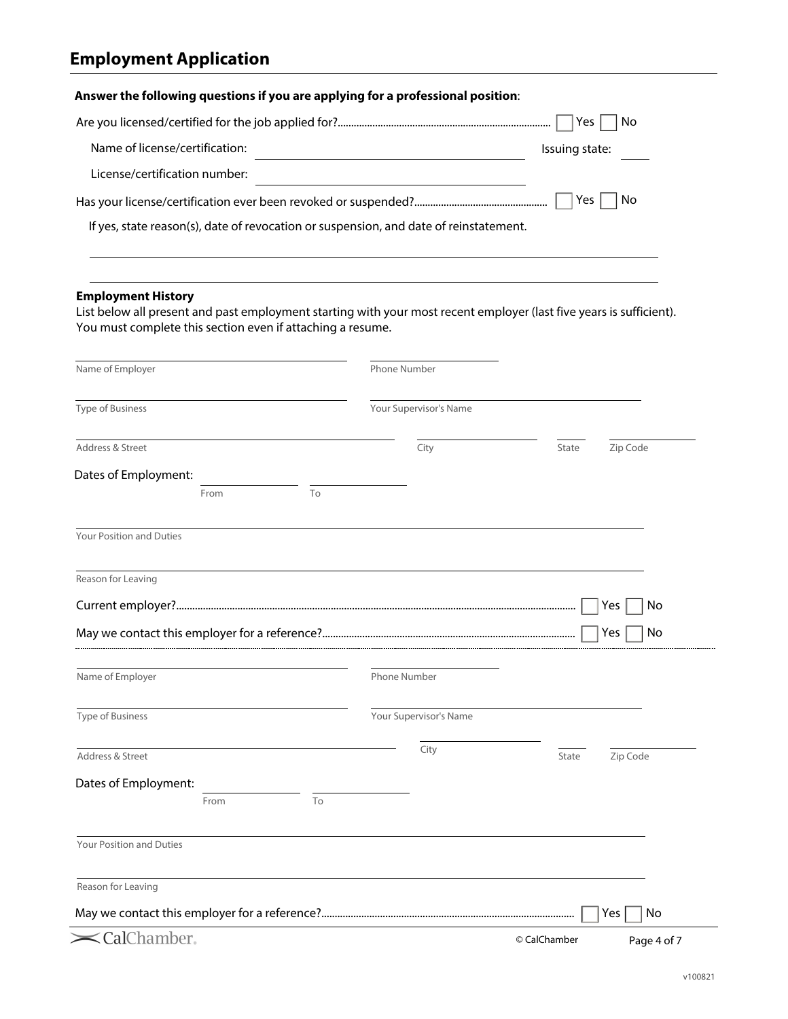| Answer the following questions if you are applying for a professional position:       |                |
|---------------------------------------------------------------------------------------|----------------|
|                                                                                       | Yes<br>No      |
| Name of license/certification:                                                        | Issuing state: |
| License/certification number:                                                         |                |
|                                                                                       | Yes<br>No      |
| If yes, state reason(s), date of revocation or suspension, and date of reinstatement. |                |
|                                                                                       |                |
|                                                                                       |                |
| <b>Employment History</b>                                                             |                |

List below all present and past employment starting with your most recent employer (last five years is sufficient). You must complete this section even if attaching a resume.

| Name of Employer                |      |    | Phone Number           |              |             |
|---------------------------------|------|----|------------------------|--------------|-------------|
| Type of Business                |      |    | Your Supervisor's Name |              |             |
| Address & Street                |      |    | City                   | State        | Zip Code    |
| Dates of Employment:            |      |    |                        |              |             |
|                                 | From | To |                        |              |             |
| Your Position and Duties        |      |    |                        |              |             |
| Reason for Leaving              |      |    |                        |              |             |
|                                 |      |    |                        |              | Yes<br>No   |
|                                 |      |    |                        |              | Yes<br>No   |
| Name of Employer                |      |    | Phone Number           |              |             |
| Type of Business                |      |    | Your Supervisor's Name |              |             |
| Address & Street                |      |    | City                   | State        | Zip Code    |
| Dates of Employment:            |      |    |                        |              |             |
|                                 | From | To |                        |              |             |
| <b>Your Position and Duties</b> |      |    |                        |              |             |
| Reason for Leaving              |      |    |                        |              |             |
|                                 |      |    |                        |              | No<br>Yes   |
| $\prec$ CalChamber              |      |    |                        | © CalChamber | Page 4 of 7 |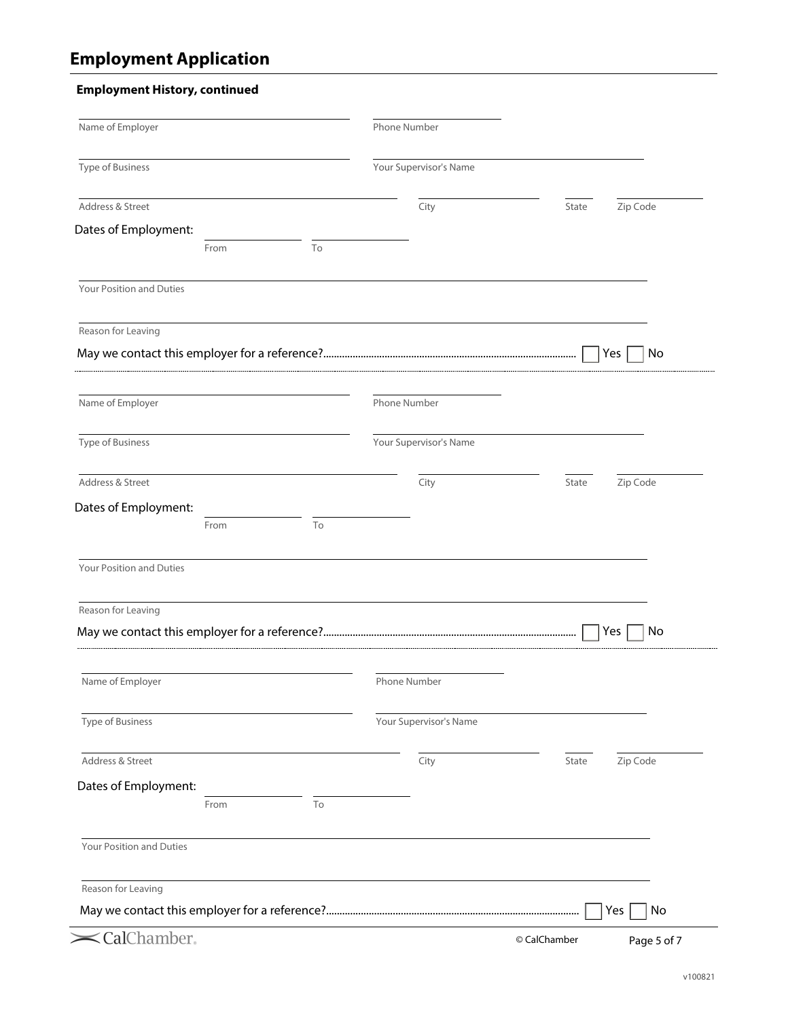| Name of Employer         |            | Phone Number           |                   |
|--------------------------|------------|------------------------|-------------------|
| Type of Business         |            | Your Supervisor's Name |                   |
| Address & Street         |            | City                   | Zip Code<br>State |
| Dates of Employment:     |            |                        |                   |
|                          | To<br>From |                        |                   |
| Your Position and Duties |            |                        |                   |
| Reason for Leaving       |            |                        |                   |
|                          |            |                        | Yes<br>No         |
| Name of Employer         |            | Phone Number           |                   |
| Type of Business         |            | Your Supervisor's Name |                   |
| Address & Street         |            | City                   | Zip Code<br>State |
| Dates of Employment:     |            |                        |                   |
|                          | To<br>From |                        |                   |
| Your Position and Duties |            |                        |                   |
| Reason for Leaving       |            |                        |                   |
|                          |            |                        | Yes<br>No         |
| Name of Employer         |            | Phone Number           |                   |
|                          |            |                        |                   |
| <b>Type of Business</b>  |            | Your Supervisor's Name |                   |
| Address & Street         |            | City                   | Zip Code<br>State |
| Dates of Employment:     |            |                        |                   |
|                          | To<br>From |                        |                   |
| Your Position and Duties |            |                        |                   |
| Reason for Leaving       |            |                        |                   |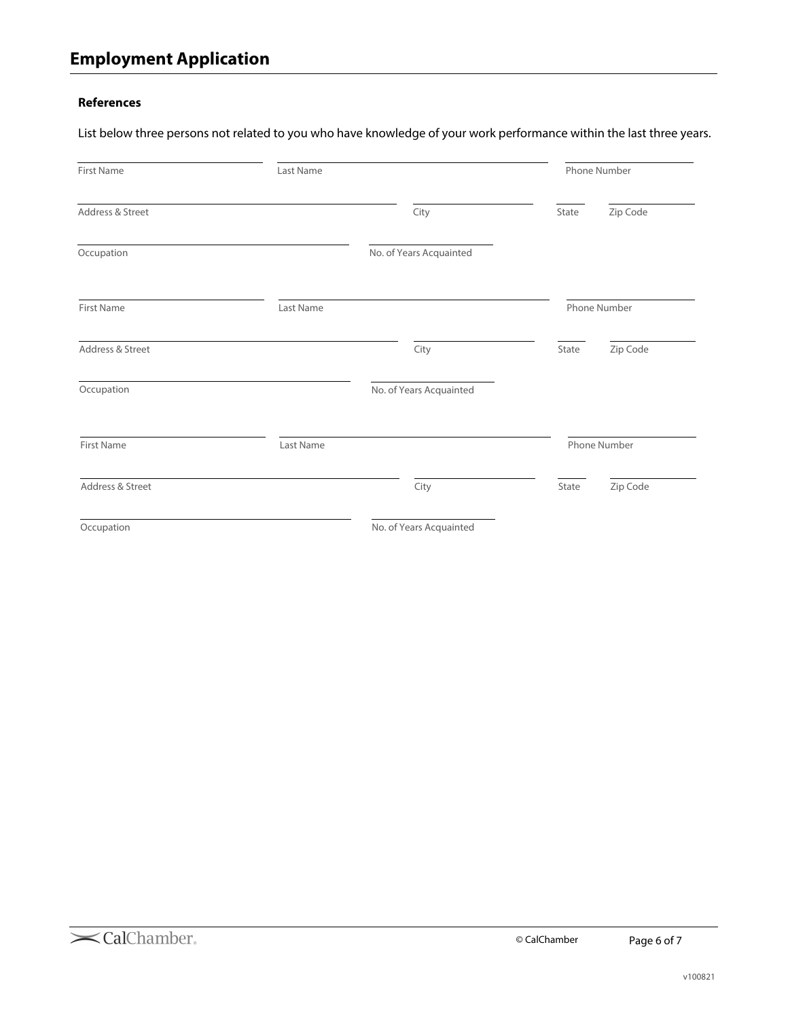### **References**

List below three persons not related to you who have knowledge of your work performance within the last three years.

| <b>First Name</b> | Last Name |                         | Phone Number |              |
|-------------------|-----------|-------------------------|--------------|--------------|
| Address & Street  |           | City                    | State        | Zip Code     |
| Occupation        |           | No. of Years Acquainted |              |              |
| <b>First Name</b> | Last Name |                         |              | Phone Number |
| Address & Street  |           | City                    | State        | Zip Code     |
| Occupation        |           | No. of Years Acquainted |              |              |
| <b>First Name</b> | Last Name |                         |              | Phone Number |
| Address & Street  |           | City                    | State        | Zip Code     |
| Occupation        |           | No. of Years Acquainted |              |              |